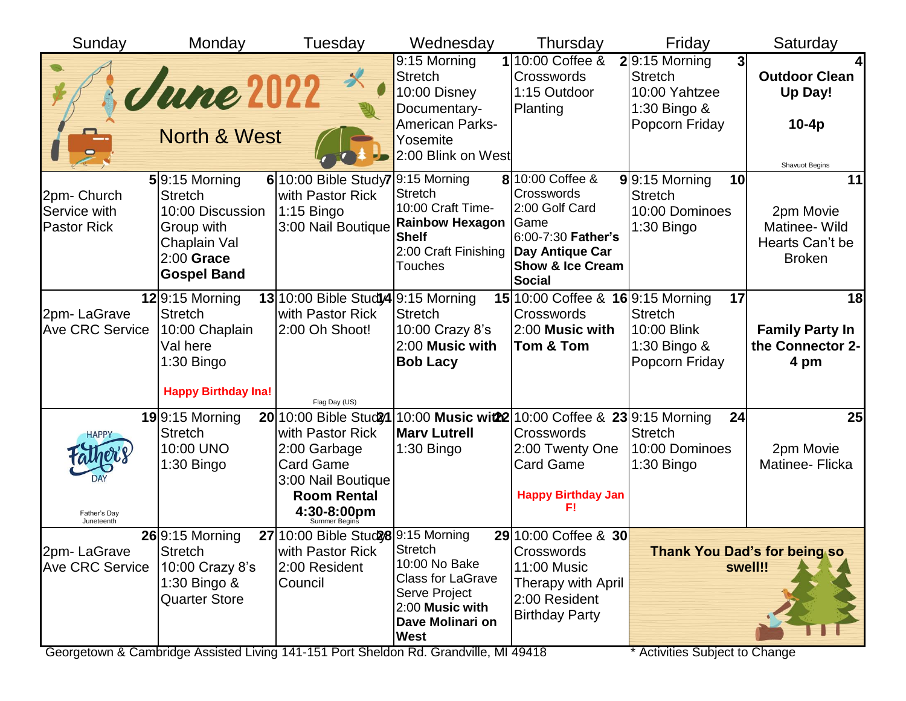| Sunday                                           | Monday                                                                                                                     | Tuesday                                                                                                                                             | Wednesday                                                                                                                               | Thursday                                                                                                                                          | Friday                                                                                                  | Saturday                                                             |
|--------------------------------------------------|----------------------------------------------------------------------------------------------------------------------------|-----------------------------------------------------------------------------------------------------------------------------------------------------|-----------------------------------------------------------------------------------------------------------------------------------------|---------------------------------------------------------------------------------------------------------------------------------------------------|---------------------------------------------------------------------------------------------------------|----------------------------------------------------------------------|
|                                                  | <b>June 2022</b><br><b>North &amp; West</b>                                                                                | $\chi$                                                                                                                                              | $\overline{9:}15$ Morning<br><b>Stretch</b><br>10:00 Disney<br>Documentary-<br><b>American Parks-</b><br>Yosemite<br>2:00 Blink on West | 10:00 Coffee &<br><b>Crosswords</b><br>1:15 Outdoor<br>Planting                                                                                   | $2 9:15$ Morning<br>3 <sup>1</sup><br><b>Stretch</b><br>10:00 Yahtzee<br>1:30 Bingo &<br>Popcorn Friday | <b>Outdoor Clean</b><br>Up Day!<br>$10-4p$<br>Shavuot Begins         |
| 2pm-Church<br>Service with<br><b>Pastor Rick</b> | $5 9:15$ Morning<br><b>Stretch</b><br>10:00 Discussion<br>Group with<br>Chaplain Val<br>$2:00$ Grace<br><b>Gospel Band</b> | $6 10:00$ Bible Study7<br>with Pastor Rick<br>$1:15$ Bingo<br>3:00 Nail Boutique                                                                    | 9:15 Morning<br><b>Stretch</b><br>10:00 Craft Time-<br><b>Rainbow Hexagon</b><br><b>Shelf</b><br>2:00 Craft Finishing<br><b>Touches</b> | 8 10:00 Coffee &<br>Crosswords<br>2:00 Golf Card<br>Game<br>6:00-7:30 Father's<br>Day Antique Car<br><b>Show &amp; Ice Cream</b><br><b>Social</b> | $9$  9:15 Morning<br>10<br><b>Stretch</b><br>10:00 Dominoes<br>1:30 Bingo                               | 11<br>2pm Movie<br>Matinee- Wild<br>Hearts Can't be<br><b>Broken</b> |
| 2pm-LaGrave<br><b>Ave CRC Service</b>            | $12 9:15$ Morning<br><b>Stretch</b><br>10:00 Chaplain<br>Val here<br>$1:30$ Bingo<br><b>Happy Birthday Ina!</b>            | 13 10:00 Bible Study4 9:15 Morning<br>with Pastor Rick<br>2:00 Oh Shoot!<br>Flag Day (US)                                                           | <b>Stretch</b><br>10:00 Crazy 8's<br>2:00 Music with<br><b>Bob Lacy</b>                                                                 | 15 10:00 Coffee & 16 9:15 Morning<br><b>Crosswords</b><br>2:00 Music with<br>Tom & Tom                                                            | 17<br><b>Stretch</b><br>10:00 Blink<br>1:30 Bingo &<br>Popcorn Friday                                   | 18<br><b>Family Party In</b><br>the Connector 2-<br>4 pm             |
| <b>HAPPY</b><br>Father's Day<br>Juneteenth       | $19$ 9:15 Morning<br><b>Stretch</b><br>10:00 UNO<br>1:30 Bingo                                                             | 20 10:00 Bible Stud 21<br>with Pastor Rick<br>2:00 Garbage<br><b>Card Game</b><br>3:00 Nail Boutique<br><b>Room Rental</b><br>$4:30-8:00 \text{pm}$ | <b>Mary Lutrell</b><br>1:30 Bingo                                                                                                       | 10:00 Music wit22 10:00 Coffee & 23 9:15 Morning<br><b>Crosswords</b><br>2:00 Twenty One<br><b>Card Game</b><br><b>Happy Birthday Jan</b><br>FΙ   | 24<br><b>Stretch</b><br>10:00 Dominoes<br>1:30 Bingo                                                    | 25<br>2pm Movie<br>Matinee- Flicka                                   |
| 2pm-LaGrave<br><b>Ave CRC Service</b>            | 26 9:15 Morning<br><b>Stretch</b><br>10:00 Crazy 8's<br>1:30 Bingo &<br><b>Quarter Store</b>                               | 27 10:00 Bible Stud 28 9:15 Morning<br>with Pastor Rick<br>2:00 Resident<br>Council                                                                 | Stretch<br>10:00 No Bake<br><b>Class for LaGrave</b><br>Serve Project<br>2:00 Music with<br>Dave Molinari on<br><b>West</b>             | 29 10:00 Coffee & 30<br>Crosswords<br>11:00 Music<br>Therapy with April<br>2:00 Resident<br><b>Birthday Party</b>                                 |                                                                                                         | <b>Thank You Dad's for being so</b><br>swell!!                       |

Georgetown & Cambridge Assisted Living 141-151 Port Sheldon Rd. Grandville, MI 49418 \* \* Activities Subject to Change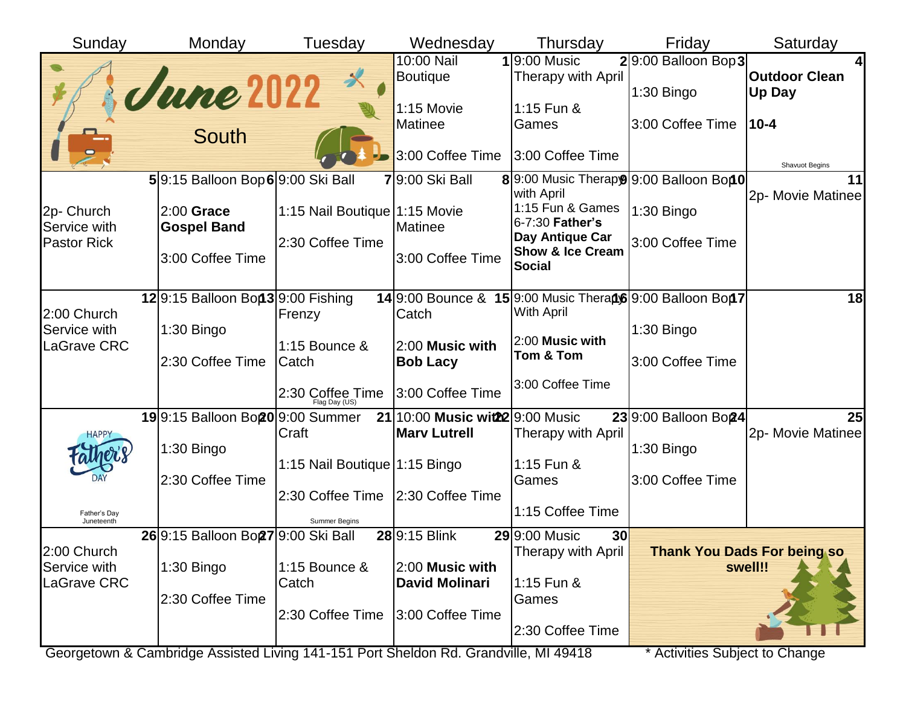| Sunday                      | Monday                                         | Tuesday                                                   | Wednesday                                              | Thursday                                                                       | Friday                               | Saturday                                      |
|-----------------------------|------------------------------------------------|-----------------------------------------------------------|--------------------------------------------------------|--------------------------------------------------------------------------------|--------------------------------------|-----------------------------------------------|
|                             | <b>June 2022</b>                               | $\boldsymbol{\mathsf{X}}$                                 | 10:00 Nail<br><b>Boutique</b>                          | $1 9:00$ Music<br>Therapy with April                                           | $2 9:00$ Balloon Bop 3<br>1:30 Bingo | <b>Outdoor Clean</b><br>Up Day                |
|                             | <b>South</b>                                   |                                                           | 1:15 Movie<br>Matinee                                  | 1:15 Fun &<br>Games                                                            | 3:00 Coffee Time                     | $10 - 4$                                      |
|                             |                                                |                                                           | 3:00 Coffee Time                                       | 3:00 Coffee Time                                                               |                                      | Shavuot Begins                                |
|                             | 59:15 Balloon Bop 69:00 Ski Ball               |                                                           | 79:00 Ski Ball                                         | 89:00 Music Therapy 9:00 Balloon Bon 0<br>with April                           |                                      | 11<br>2p- Movie Matinee                       |
| 2p- Church<br>Service with  | $2:00$ Grace<br><b>Gospel Band</b>             | 1:15 Nail Boutique 1:15 Movie                             | Matinee                                                | 1:15 Fun & Games<br>6-7:30 Father's                                            | 1:30 Bingo                           |                                               |
| <b>Pastor Rick</b>          | 3:00 Coffee Time                               | 2:30 Coffee Time                                          | 3:00 Coffee Time                                       | Day Antique Car<br><b>Show &amp; Ice Cream</b><br><b>Social</b>                | 3:00 Coffee Time                     |                                               |
| 2:00 Church                 | 129:15 Balloon Bon 39:00 Fishing               | Frenzy                                                    | Catch                                                  | 14 9:00 Bounce & 15 9:00 Music Therapt6 9:00 Balloon Bon7<br><b>With April</b> |                                      | 18                                            |
| Service with                | 1:30 Bingo                                     | 1:15 Bounce &                                             | 2:00 Music with                                        | 2:00 Music with                                                                | $1:30$ Bingo                         |                                               |
| LaGrave CRC                 | 2:30 Coffee Time                               | Catch                                                     | <b>Bob Lacy</b>                                        | Tom & Tom                                                                      | 3:00 Coffee Time                     |                                               |
|                             |                                                | 2:30 Coffee Time<br>Flag Day (US)                         | 3:00 Coffee Time                                       | 3:00 Coffee Time                                                               |                                      |                                               |
| HAPPY                       | 199:15 Balloon Bo <sub>20</sub> 9:00 Summer    | Craft                                                     | 21 10:00 Music wit22 9:00 Music<br><b>Marv Lutrell</b> | Therapy with April                                                             | 23 9:00 Balloon Bo24                 | 25<br>2p- Movie Matinee                       |
|                             | 1:30 Bingo                                     |                                                           |                                                        |                                                                                | 1:30 Bingo                           |                                               |
|                             | 2:30 Coffee Time                               | 1:15 Nail Boutique 1:15 Bingo                             |                                                        | 1:15 Fun &<br>Games                                                            | 3:00 Coffee Time                     |                                               |
| Father's Day<br>Juneteenth  |                                                | 2:30 Coffee Time 2:30 Coffee Time<br><b>Summer Begins</b> |                                                        | 1:15 Coffee Time                                                               |                                      |                                               |
|                             | 26 9:15 Balloon Bo <sub>27</sub> 9:00 Ski Ball |                                                           | 28 9:15 Blink                                          | 29 9:00 Music<br>30                                                            |                                      |                                               |
| 2:00 Church<br>Service with | 1:30 Bingo                                     | 1:15 Bounce &                                             | 2:00 Music with                                        | Therapy with April                                                             |                                      | <b>Thank You Dads For being so</b><br>swell!! |
| LaGrave CRC                 | 2:30 Coffee Time                               | Catch                                                     | <b>David Molinari</b>                                  | 1:15 Fun &<br>Games                                                            |                                      |                                               |
|                             |                                                | 2:30 Coffee Time                                          | 3:00 Coffee Time                                       | 2:30 Coffee Time                                                               |                                      |                                               |

Georgetown & Cambridge Assisted Living 141-151 Port Sheldon Rd. Grandville, MI 49418 \* Activities Subject to Change